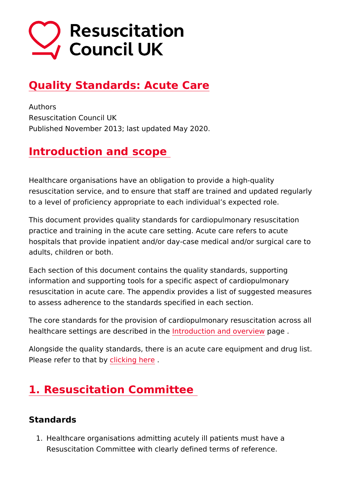# [Quality Standards: Acut](https://www.resus.org.uk/library/quality-standards-cpr/quality-standards-acute-care)e Care

Authors Resuscitation Council UK Published November 2013; last updated May 2020.

### Introduction and scope

Healthcare organisations have an obligation to provide a high-q resuscitation service, and to ensure that staff are trained and u to a level of proficiency appropriate to each individual s expect

This document provides quality standards for cardiopulmonary r practice and training in the acute care setting. Acute care refer hospitals that provide inpatient and/or day-case medical and/or adults, children or both.

Each section of this document contains the quality standards, s information and supporting tools for a specific aspect of cardio resuscitation in acute care. The appendix provides a list of sug to assess adherence to the standards specified in each section.

The core standards for the provision of cardiopulmonary resusc healthcare settings are descributed diuncttiben and overagieew

Alongside the quality standards, there is an acute care equipme Please refer to that kbing here

### 1. Resuscitation Committee

Standards

1. Healthcare organisations admitting acutely ill patients must Resuscitation Committee with clearly defined terms of refere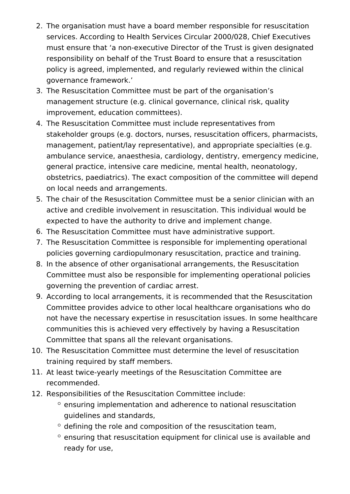- 2. The organisation must have a board member responsible for resuscitation services. According to Health Services Circular 2000/028, Chief Executives must ensure that 'a non-executive Director of the Trust is given designated responsibility on behalf of the Trust Board to ensure that a resuscitation policy is agreed, implemented, and regularly reviewed within the clinical governance framework.'
- 3. The Resuscitation Committee must be part of the organisation's management structure (e.g. clinical governance, clinical risk, quality improvement, education committees).
- 4. The Resuscitation Committee must include representatives from stakeholder groups (e.g. doctors, nurses, resuscitation officers, pharmacists, management, patient/lay representative), and appropriate specialties (e.g. ambulance service, anaesthesia, cardiology, dentistry, emergency medicine, general practice, intensive care medicine, mental health, neonatology, obstetrics, paediatrics). The exact composition of the committee will depend on local needs and arrangements.
- 5. The chair of the Resuscitation Committee must be a senior clinician with an active and credible involvement in resuscitation. This individual would be expected to have the authority to drive and implement change.
- 6. The Resuscitation Committee must have administrative support.
- 7. The Resuscitation Committee is responsible for implementing operational policies governing cardiopulmonary resuscitation, practice and training.
- 8. In the absence of other organisational arrangements, the Resuscitation Committee must also be responsible for implementing operational policies governing the prevention of cardiac arrest.
- 9. According to local arrangements, it is recommended that the Resuscitation Committee provides advice to other local healthcare organisations who do not have the necessary expertise in resuscitation issues. In some healthcare communities this is achieved very effectively by having a Resuscitation Committee that spans all the relevant organisations.
- 10. The Resuscitation Committee must determine the level of resuscitation training required by staff members.
- 11. At least twice-yearly meetings of the Resuscitation Committee are recommended.
- 12. Responsibilities of the Resuscitation Committee include:
	- $\degree$  ensuring implementation and adherence to national resuscitation guidelines and standards,
	- $\degree$  defining the role and composition of the resuscitation team,
	- $\degree$  ensuring that resuscitation equipment for clinical use is available and ready for use,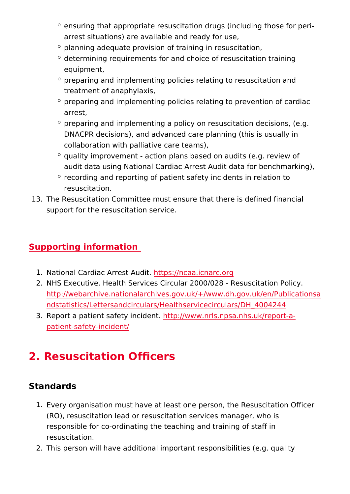- $\circ$  ensuring that appropriate resuscitation drugs (including arrest situations) are available and ready for use,
- $\degree$  planning adequate provision of training in resuscitation,
- $\circ$  determining requirements for and choice of resuscitation equipment,
- $\circ$  preparing and implementing policies relating to resuscitation treatment of anaphylaxis,
- $\circ$  preparing and implementing policies relating to prevention arrest,
- $\circ$  preparing and implementing a policy on resuscitation dee DNACPR decisions), and advanced care planning (this is collaboration with palliative care teams),
- $\circ$  quality improvement action plans based on audits (e.g. audit data using National Cardiac Arrest Audit data for b
- $\degree$  recording and reporting of patient safety incidents in rel resuscitation.
- 13.The Resuscitation Committee must ensure that there is defir support for the resuscitation service.

### [Supporting informa](https://www.resus.org.ukjavascript:void(0);)tion

- 1. National Cardiac Arrestt Asudincaa.icnarc.org
- 2.NHS Executive. Health Services Circular 2000/028 Resusci [http://webarchive.nationalarchives.gov.uk/+/www.dh.go](http://webarchive.nationalarchives.gov.uk/+/www.dh.gov.uk/en/Publicationsandstatistics/Lettersandcirculars/Healthservicecirculars/DH_4004244)v.uk/ [ndstatistics/Lettersandcirculars/Healthserviceci](http://webarchive.nationalarchives.gov.uk/+/www.dh.gov.uk/en/Publicationsandstatistics/Lettersandcirculars/Healthservicecirculars/DH_4004244)rculars/DH\_4004244
- 3. Report a patient safety hintoid ewww.nrls.npsa.nhs.uk/report-a[patient-safety-in](http://www.nrls.npsa.nhs.uk/report-a-patient-safety-incident/)cident/

# 2. Resuscitation Officers

- 1. Every organisation must have at least one person, the Resu (RO), resuscitation lead or resuscitation services manager, responsible for co-ordinating the teaching and training of st resuscitation.
- 2. This person will have additional important responsibilities (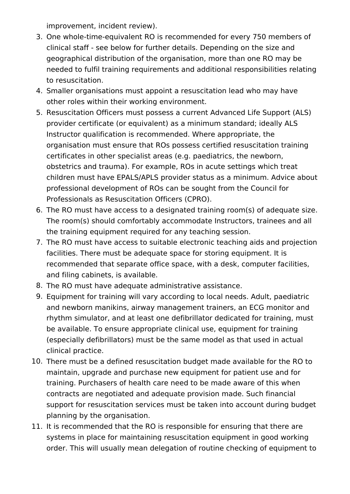improvement, incident review).

- 3. One whole-time-equivalent RO is recommended for every 750 members of clinical staff - see below for further details. Depending on the size and geographical distribution of the organisation, more than one RO may be needed to fulfil training requirements and additional responsibilities relating to resuscitation.
- 4. Smaller organisations must appoint a resuscitation lead who may have other roles within their working environment.
- 5. Resuscitation Officers must possess a current Advanced Life Support (ALS) provider certificate (or equivalent) as a minimum standard; ideally ALS Instructor qualification is recommended. Where appropriate, the organisation must ensure that ROs possess certified resuscitation training certificates in other specialist areas (e.g. paediatrics, the newborn, obstetrics and trauma). For example, ROs in acute settings which treat children must have EPALS/APLS provider status as a minimum. Advice about professional development of ROs can be sought from the Council for Professionals as Resuscitation Officers (CPRO).
- 6. The RO must have access to a designated training room(s) of adequate size. The room(s) should comfortably accommodate Instructors, trainees and all the training equipment required for any teaching session.
- 7. The RO must have access to suitable electronic teaching aids and projection facilities. There must be adequate space for storing equipment. It is recommended that separate office space, with a desk, computer facilities, and filing cabinets, is available.
- 8. The RO must have adequate administrative assistance.
- 9. Equipment for training will vary according to local needs. Adult, paediatric and newborn manikins, airway management trainers, an ECG monitor and rhythm simulator, and at least one defibrillator dedicated for training, must be available. To ensure appropriate clinical use, equipment for training (especially defibrillators) must be the same model as that used in actual clinical practice.
- 10. There must be a defined resuscitation budget made available for the RO to maintain, upgrade and purchase new equipment for patient use and for training. Purchasers of health care need to be made aware of this when contracts are negotiated and adequate provision made. Such financial support for resuscitation services must be taken into account during budget planning by the organisation.
- 11. It is recommended that the RO is responsible for ensuring that there are systems in place for maintaining resuscitation equipment in good working order. This will usually mean delegation of routine checking of equipment to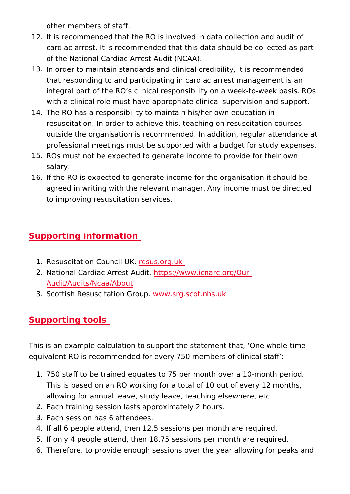other members of staff.

- 12.It is recommended that the RO is involved in data collection cardiac arrest. It is recommended that this data should be c of the National Cardiac Arrest Audit (NCAA).
- 13.In order to maintain standards and clinical credibility, it is that responding to and participating in cardiac arrest manag integral part of the RO s clinical responsibility on a week-to with a clinical role must have appropriate clinical supervision
- 14. The RO has a responsibility to maintain his/her own educati resuscitation. In order to achieve this, teaching on resuscit outside the organisation is recommended. In addition, regul professional meetings must be supported with a budget for s
- 15.ROs must not be expected to generate income to provide for salary.
- 16.If the RO is expected to generate income for the organisation agreed in writing with the relevant manager. Any income mu to improving resuscitation services.

#### [Supporting informa](https://www.resus.org.ukjavascript:void(0);)tion

- 1. Resuscitation Couneslub Korg.uk
- 2. National Cardiac Arrestt Asuditwww.icnarc.org/Our-[Audit/Audits/Ncaa](https://www.icnarc.org/Our-Audit/Audits/Ncaa/About)/About
- 3. Scottish Resuscitation wor osurg.scot.nhs.uk

#### [Supporting to](https://www.resus.org.ukjavascript:void(0);)ols

This is an example calculation to support the statement that, C equivalent RO is recommended for every 750 members of clinical

- 1.750 staff to be trained equates to 75 per month over a 10-m This is based on an RO working for a total of 10 out of ever allowing for annual leave, study leave, teaching elsewhere,
- 2.Each training session lasts approximately 2 hours.
- 3.Each session has 6 attendees.

4. If all 6 people attend, then 12.5 sessions per month are req 5. If only 4 people attend, then 18.75 sessions per month are required. 6. Therefore, to provide enough sessions over the year allowin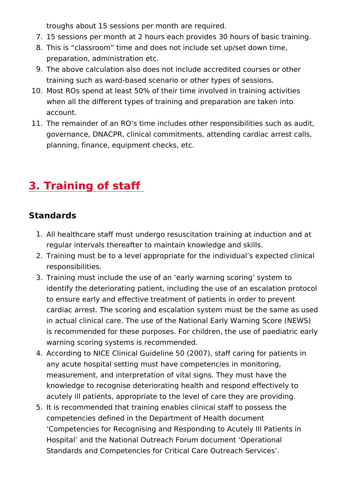troughs about 15 sessions per month are required.

- 7.15 sessions per month at 2 hours each provides 30 hours of
- 8. This is classroom time and does not include set up/set dow preparation, administration etc.
- 9. The above calculation also does not include accredited cour training such as ward-based scenario or other types of sess
- 10. Most ROs spend at least 50% of their time involved in traini when all the different types of training and preparation are account.
- 11. The remainder of an RO s time includes other responsibilitie governance, DNACPR, clinical commitments, attending cardi planning, finance, equipment checks, etc.

# 3. Training of staff

- 1. All healthcare staff must undergo resuscitation training at i regular intervals thereafter to maintain knowledge and skills.
- 2. Training must be to a level appropriate for the individual s responsibilities.
- 3. Training must include the use of an early warning scoring identify the deteriorating patient, including the use of an es to ensure early and effective treatment of patients in order cardiac arrest. The scoring and escalation system must be t in actual clinical care. The use of the National Early Warnin is recommended for these purposes. For children, the use of warning scoring systems is recommended.
- 4. According to NICE Clinical Guideline 50 (2007), staff caring any acute hospital setting must have competencies in monito measurement, and interpretation of vital signs. They must h knowledge to recognise deteriorating health and respond eff acutely ill patients, appropriate to the level of care they are
- 5. It is recommended that training enables clinical staff to pos competencies defined in the Department of Health document Competencies for Recognising and Responding to Acutely II Hospital and the National Outreach Forum document Opera Standards and Competencies for Critical Care Outreach Serv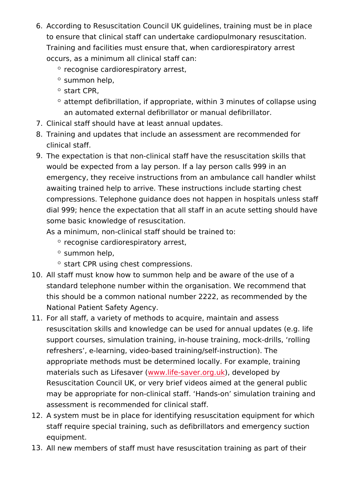- 6. According to Resuscitation Council UK guidelines, training r to ensure that clinical staff can undertake cardiopulmonary Training and facilities must ensure that, when cardiorespira occurs, as a minimum all clinical staff can:
	- $\degree$  recognise cardiorespiratory arrest,
	- $^{\circ}$  summon help,
	- $^{\circ}$  start CPR,
	- $\circ$  attempt defibrillation, if appropriate, within 3 minutes of an automated external defibrillator or manual defibrillato
- 7.Clinical staff should have at least annual updates.
- 8. Training and updates that include an assessment are recomm clinical staff.
- 9. The expectation is that non-clinical staff have the resuscita would be expected from a lay person. If a lay person calls 9 emergency, they receive instructions from an ambulance cal awaiting trained help to arrive. These instructions include s compressions. Telephone guidance does not happen in hospi dial 999; hence the expectation that all staff in an acute set some basic knowledge of resuscitation.
	- As a minimum, non-clinical staff should be trained to:
		- $\circ$  recognise cardiorespiratory arrest,
		- $^{\circ}$  summon help,
		- $\circ$  start CPR using chest compressions.
- 10.All staff must know how to summon help and be aware of the standard telephone number within the organisation. We reco this should be a common national number 2222, as recomme National Patient Safety Agency.
- 11. For all staff, a variety of methods to acquire, maintain and resuscitation skills and knowledge can be used for annual u support courses, simulation training, in-house training, moc refreshers, e-learning, video-based training/self-instruction appropriate methods must be determined locally. For exampl materials such as Lifes aver  $\mathfrak{b}$ ,  $\mathfrak{g}$  and  $\mathfrak{g}$  and  $\mathfrak{g}$  and  $\mathfrak{g}$  and  $\mathfrak{g}$  by Resuscitation Council UK, or very brief videos aimed at the may be appropriate for non-clinical staff. Hands-on simula assessment is recommended for clinical staff.
- 12.A system must be in place for identifying resuscitation equi staff require special training, such as defibrillators and eme equipment.
- 13.All new members of staff must have resuscitation training as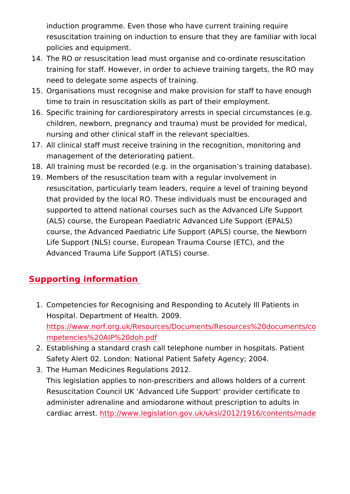induction programme. Even those who have current training resuscitation training on induction to ensure that they are f policies and equipment.

- 14. The RO or resuscitation lead must organise and co-ordinate training for staff. However, in order to achieve training targ need to delegate some aspects of training.
- 15. Organisations must recognise and make provision for staff t time to train in resuscitation skills as part of their employm
- 16. Specific training for cardiorespiratory arrests in special circumstances children, newborn, pregnancy and trauma) must be provided nursing and other clinical staff in the relevant specialties.
- 17.All clinical staff must receive training in the recognition,  $m_1$ management of the deteriorating patient.
- 18.All training must be recorded (e.g. in the organisation s tra
- 19. Members of the resuscitation team with a regular involvement resuscitation, particularly team leaders, require a level of t that provided by the local RO. These individuals must be en supported to attend national courses such as the Advanced (ALS) course, the European Paediatric Advanced Life Suppo course, the Advanced Paediatric Life Support (APLS) course Life Support (NLS) course, European Trauma Course (ETC), Advanced Trauma Life Support (ATLS) course.

# [Supporting informa](https://www.resus.org.ukjavascript:void(0);)tion

- 1. Competencies for Recognising and Responding to Acutely III Hospital. Department of Health. 2009. [https://www.norf.org.uk/Resources/Documents/Resour](https://www.norf.org.uk/Resources/Documents/Resources documents/competencies AIP doh.pdf)ces%20 [mpetencies%20AIP%20](https://www.norf.org.uk/Resources/Documents/Resources documents/competencies AIP doh.pdf)doh.pdf
- 2. Establishing a standard crash call telephone number in hosp Safety Alert 02. London: National Patient Safety Agency; 20
- 3.The Human Medicines Regulations 2012. This legislation applies to non-prescribers and allows holde Resuscitation Council UK Advanced Life Support provider administer adrenaline and amiodarone without prescription t cardiac arrhetstp://www.legislation.gov.uk/uksi/2012/1916/cont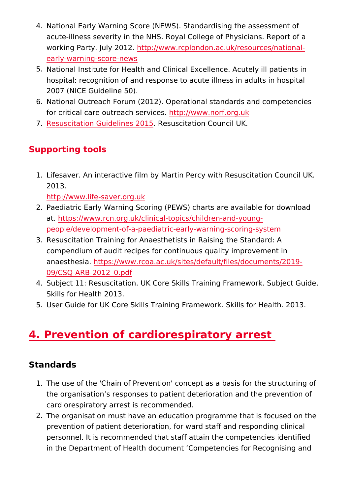- 4. National Early Warning Score (NEWS). Standardising the assessment of acute-illness severity in the NHS. Royal College of Physicia working Party. Julktpp://2www.rcplondon.ac.uk/resources/national[early-warning-scor](http://www.rcplondon.ac.uk/resources/national-early-warning-score-news)e-news
- 5. National Institute for Health and Clinical Excellence. Acutel hospital: recognition of and response to acute illness in adu 2007 (NICE Guideline 50).
- 6. National Outreach Forum (2012). Operational standards and for critical care outreach tstor who waw.norf.org.uk
- 7. [Resuscitation Guideli](https://www.resus.org.uk/library/2015-resuscitation-guidelines)nese 2015 Sitation Council UK.

### [Supporting to](https://www.resus.org.ukjavascript:void(0);)ols

1. Lifesaver. An interactive film by Martin Percy with Resuscitation 2013.

[http://www.life-save](http://www.life-saver.org.uk)r.org.uk

- 2. Paediatric Early Warning Scoring (PEWS) charts are availab at[. https://www.rcn.org.uk/clinical-topics/ch](https://www.rcn.org.uk/clinical-topics/children-and-young-people/development-of-a-paediatric-early-warning-scoring-system)ildren-and-young [people/development-of-a-paediatric-early-warn](https://www.rcn.org.uk/clinical-topics/children-and-young-people/development-of-a-paediatric-early-warning-scoring-system)ing-scoring-sy
- 3. Resuscitation Training for Anaesthetists in Raising the Stan compendium of audit recipes for continuous quality improver anaestheshittps://www.rcoa.ac.uk/sites/default/files/documen [09/CSQ-ARB-2012](https://www.rcoa.ac.uk/sites/default/files/documents/2019-09/CSQ-ARB-2012_0.pdf)\_0.pdf
- 4. Subject 11: Resuscitation. UK Core Skills Training Framewo Skills for Health 2013.
- 5. User Guide for UK Core Skills Training Framework. Skills fo

# 4. Prevention of cardiorespiratory arrest

- 1. The use of the 'Chain of Prevention' concept as a basis for the organisation s responses to patient deterioration and th cardiorespiratory arrest is recommended.
- 2. The organisation must have an education programme that is prevention of patient deterioration, for ward staff and respo personnel. It is recommended that staff attain the competen in the Department of Health document Competencies for Re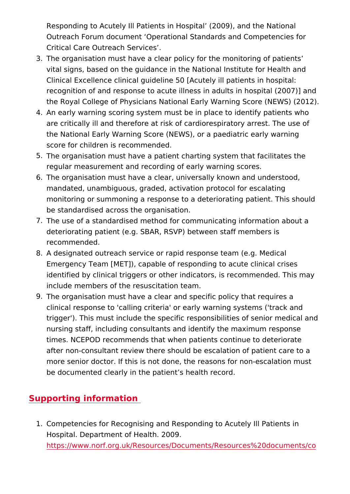Responding to Acutely III Patients in Hospital (2009), and the Outreach Forum document Operational Standards and Comp Critical Care Outreach Services .

- 3. The organisation must have a clear policy for the monitoring vital signs, based on the guidance in the National Institute Clinical Excellence clinical guideline 50 [Acutely ill patients recognition of and response to acute illness in adults in hos the Royal College of Physicians National Early Warning Sco
- 4. An early warning scoring system must be in place to identify are critically ill and therefore at risk of cardiorespiratory and the National Early Warning Score (NEWS), or a paediatric early score for children is recommended.
- 5. The organisation must have a patient charting system that f regular measurement and recording of early warning scores.
- 6. The organisation must have a clear, universally known and u mandated, unambiguous, graded, activation protocol for esc monitoring or summoning a response to a deteriorating patie be standardised across the organisation.
- 7. The use of a standardised method for communicating information about a standardised method. deteriorating patient (e.g. SBAR, RSVP) between staff memb recommended.
- 8. A designated outreach service or rapid response team (e.g. Emergency Team [MET]), capable of responding to acute clin identified by clinical triggers or other indicators, is recomm include members of the resuscitation team.
- 9. The organisation must have a clear and specific policy that clinical response to 'calling criteria' or early warning system trigger'). This must include the specific responsibilities of s nursing staff, including consultants and identify the maximu times. NCEPOD recommends that when patients continue to after non-consultant review there should be escalation of pa more senior doctor. If this is not done, the reasons for nonbe documented clearly in the patient s health record.

#### [Supporting informa](https://www.resus.org.ukjavascript:void(0);)tion

1. Competencies for Recognising and Responding to Acutely III Hospital. Department of Health. 2009. [https://www.norf.org.uk/Resources/Documents/Resour](https://www.norf.org.uk/Resources/Documents/Resources documents/competencies AIP doh.pdf)ces%20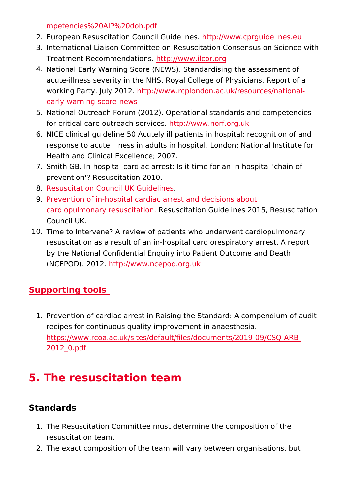[mpetencies%20AIP%20](https://www.norf.org.uk/Resources/Documents/Resources documents/competencies AIP doh.pdf)doh.pdf

- 2. European Resuscitation Council tGpuid evivinue. sprguidelines.eu
- 3. International Liaison Committee on Resuscitation Consensus Treatment Recommendlattipn/swww.ilcor.org
- 4. National Early Warning Score (NEWS). Standardising the assessment of acute-illness severity in the NHS. Royal College of Physicia working Party. Julktpo://2www.rcplondon.ac.uk/resources/nati [early-warning-scor](http://www.rcplondon.ac.uk/resources/national-early-warning-score-news)e-news
- 5. National Outreach Forum (2012). Operational standards and for critical care outreach tstor who waw norf.org.uk
- 6. NICE clinical guideline 50 Acutely ill patients in hospital: re response to acute illness in adults in hospital. London: Nati Health and Clinical Excellence; 2007.
- 7. Smith GB. In-hospital cardiac arrest: Is it time for an in-hos prevention'? Resuscitation 2010.
- 8. [Resuscitation Council UK](https://www.resus.org.uk/library/2015-resuscitation-guidelines) Guidelines
- 9.[Prevention of in-hospital cardiac arrest an](https://www.resus.org.uk/library/2015-resuscitation-guidelines/prevention-cardiac-arrest-and-decisions-about-cpr)d decisions about [cardiopulmonary resus](https://www.resus.org.uk/library/2015-resuscitation-guidelines/prevention-cardiac-arrest-and-decisions-about-cpr) Riet sutisconitation Guidelines 2015, Resus Council UK.
- 10.Time to Intervene? A review of patients who underwent card resuscitation as a result of an in-hospital cardiorespiratory by the National Confidential Enquiry into Patient Outcome a (NCEPOD). 200ttp://www.ncepod.org.uk

### [Supporting to](https://www.resus.org.ukjavascript:void(0);)ols

1. Prevention of cardiac arrest in Raising the Standard: A com recipes for continuous quality improvement in anaesthesia. [https://www.rcoa.ac.uk/sites/default/files/documen](https://www.rcoa.ac.uk/sites/default/files/documents/2019-09/CSQ-ARB-2012_0.pdf)ts/2019-0 [2012\\_0.](https://www.rcoa.ac.uk/sites/default/files/documents/2019-09/CSQ-ARB-2012_0.pdf)pdf

# 5. The resuscitation team

- 1. The Resuscitation Committee must determine the compositio resuscitation team.
- 2. The exact composition of the team will vary between organis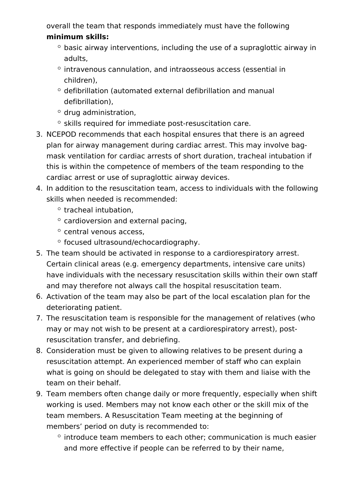overall the team that responds immediately must have the following

### **minimum skills:**

- $\degree$  basic airway interventions, including the use of a supraglottic airway in adults,
- $\degree$  intravenous cannulation, and intraosseous access (essential in children),
- $\circ$  defibrillation (automated external defibrillation and manual defibrillation),
- $\circ$  drug administration,
- $\circ$  skills required for immediate post-resuscitation care.
- 3. NCEPOD recommends that each hospital ensures that there is an agreed plan for airway management during cardiac arrest. This may involve bagmask ventilation for cardiac arrests of short duration, tracheal intubation if this is within the competence of members of the team responding to the cardiac arrest or use of supraglottic airway devices.
- 4. In addition to the resuscitation team, access to individuals with the following skills when needed is recommended:
	- $\circ$  tracheal intubation,
	- $\circ$  cardioversion and external pacing,
	- <sup>o</sup> central venous access.
	- $\circ$  focused ultrasound/echocardiography.
- 5. The team should be activated in response to a cardiorespiratory arrest. Certain clinical areas (e.g. emergency departments, intensive care units) have individuals with the necessary resuscitation skills within their own staff and may therefore not always call the hospital resuscitation team.
- 6. Activation of the team may also be part of the local escalation plan for the deteriorating patient.
- 7. The resuscitation team is responsible for the management of relatives (who may or may not wish to be present at a cardiorespiratory arrest), postresuscitation transfer, and debriefing.
- 8. Consideration must be given to allowing relatives to be present during a resuscitation attempt. An experienced member of staff who can explain what is going on should be delegated to stay with them and liaise with the team on their behalf.
- 9. Team members often change daily or more frequently, especially when shift working is used. Members may not know each other or the skill mix of the team members. A Resuscitation Team meeting at the beginning of members' period on duty is recommended to:
	- $\degree$  introduce team members to each other; communication is much easier and more effective if people can be referred to by their name,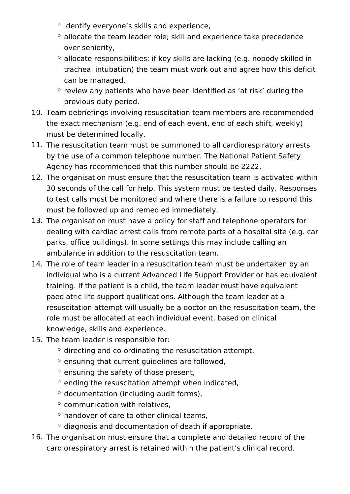- $\circ$  identify everyone's skills and experience,
- $\degree$  allocate the team leader role; skill and experience take precedence over seniority,
- $\degree$  allocate responsibilities; if key skills are lacking (e.g. nobody skilled in tracheal intubation) the team must work out and agree how this deficit can be managed,
- $\circ$  review any patients who have been identified as 'at risk' during the previous duty period.
- 10. Team debriefings involving resuscitation team members are recommended the exact mechanism (e.g. end of each event, end of each shift, weekly) must be determined locally.
- 11. The resuscitation team must be summoned to all cardiorespiratory arrests by the use of a common telephone number. The National Patient Safety Agency has recommended that this number should be 2222.
- 12. The organisation must ensure that the resuscitation team is activated within 30 seconds of the call for help. This system must be tested daily. Responses to test calls must be monitored and where there is a failure to respond this must be followed up and remedied immediately.
- 13. The organisation must have a policy for staff and telephone operators for dealing with cardiac arrest calls from remote parts of a hospital site (e.g. car parks, office buildings). In some settings this may include calling an ambulance in addition to the resuscitation team.
- 14. The role of team leader in a resuscitation team must be undertaken by an individual who is a current Advanced Life Support Provider or has equivalent training. If the patient is a child, the team leader must have equivalent paediatric life support qualifications. Although the team leader at a resuscitation attempt will usually be a doctor on the resuscitation team, the role must be allocated at each individual event, based on clinical knowledge, skills and experience.
- 15. The team leader is responsible for:
	- $\degree$  directing and co-ordinating the resuscitation attempt,
	- $\degree$  ensuring that current guidelines are followed,
	- $\degree$  ensuring the safety of those present,
	- $\degree$  ending the resuscitation attempt when indicated,
	- $\degree$  documentation (including audit forms),
	- $\circ$  communication with relatives.
	- $\degree$  handover of care to other clinical teams,
	- $\circ$  diagnosis and documentation of death if appropriate.
- 16. The organisation must ensure that a complete and detailed record of the cardiorespiratory arrest is retained within the patient's clinical record.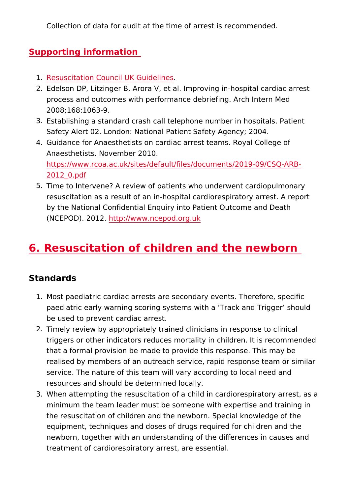Collection of data for audit at the time of arrest is recomme

#### [Supporting informa](https://www.resus.org.ukjavascript:void(0);)tion

- 1.[Resuscitation Council UK](https://www.resus.org.uk/library/2015-resuscitation-guidelines) Guidelines .
- 2. Edelson DP, Litzinger B, Arora V, et al. Improving in-hospit process and outcomes with performance debriefing. Arch Int 2008;168:1063-9.
- 3. Establishing a standard crash call telephone number in hosp Safety Alert 02. London: National Patient Safety Agency; 20
- 4. Guidance for Anaesthetists on cardiac arrest teams. Royal C Anaesthetists. November 2010. [https://www.rcoa.ac.uk/sites/default/files/documen](https://www.rcoa.ac.uk/sites/default/files/documents/2019-09/CSQ-ARB-2012_0.pdf)ts/2019-0 [2012\\_0.](https://www.rcoa.ac.uk/sites/default/files/documents/2019-09/CSQ-ARB-2012_0.pdf)pdf
- 5. Time to Intervene? A review of patients who underwent card resuscitation as a result of an in-hospital cardiorespiratory by the National Confidential Enquiry into Patient Outcome a  $(NEFPOD)$ .  $2$  http://www.ncepod.org.uk

# 6. Resuscitation of children and the newbo

- 1. Most paediatric cardiac arrests are secondary events. There paediatric early warning scoring systems with a Track and be used to prevent cardiac arrest.
- 2. Timely review by appropriately trained clinicians in respons triggers or other indicators reduces mortality in children. It that a formal provision be made to provide this response. The realised by members of an outreach service, rapid response service. The nature of this team will vary according to local resources and should be determined locally.
- 3. When attempting the resuscitation of a child in cardiorespir minimum the team leader must be someone with expertise are the resuscitation of children and the newborn. Special know equipment, techniques and doses of drugs required for child newborn, together with an understanding of the differences treatment of cardiorespiratory arrest, are essential.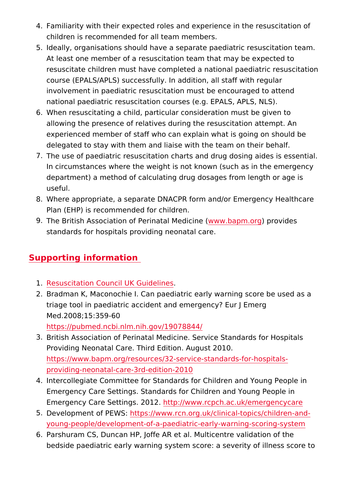- 4. Familiarity with their expected roles and experience in the r children is recommended for all team members.
- 5. Ideally, organisations should have a separate paediatric res At least one member of a resuscitation team that may be expected resuscitate children must have completed a national paediat course (EPALS/APLS) successfully. In addition, all staff with involvement in paediatric resuscitation must be encouraged national paediatric resuscitation courses (e.g. EPALS, APLS
- 6. When resuscitating a child, particular consideration must be allowing the presence of relatives during the resuscitation a experienced member of staff who can explain what is going delegated to stay with them and liaise with the team on thei
- 7. The use of paediatric resuscitation charts and drug dosing a In circumstances where the weight is not known (such as in department) a method of calculating drug dosages from leng useful.
- 8. Where appropriate, a separate DNACPR form and/or Emergen Plan (EHP) is recommended for children.
- 9. The British Association of Perinawtwa w Mbaopincip progr(ovides standards for hospitals providing neonatal care.

#### [Supporting informa](https://www.resus.org.ukjavascript:void(0);)tion

#### 1.[Resuscitation Council UK](https://www.resus.org.uk/library/2015-resuscitation-guidelines) Guidelines .

2. Bradman K, Maconochie I. Can paediatric early warning scor triage tool in paediatric accident and emergency? Eur J Emerg Med.2008;15:359-60

[https://pubmed.ncbi.nlm.nih.go](https://pubmed.ncbi.nlm.nih.gov/19078844/)v/19078844/

- 3. British Association of Perinatal Medicine. Service Standards Providing Neonatal Care. Third Edition. August 2010. [https://www.bapm.org/resources/32-service-stan](https://www.bapm.org/resources/32-service-standards-for-hospitals-providing-neonatal-care-3rd-edition-2010)dards-for-ho [providing-neonatal-care-3rd-e](https://www.bapm.org/resources/32-service-standards-for-hospitals-providing-neonatal-care-3rd-edition-2010)dition-2010
- 4. Intercollegiate Committee for Standards for Children and Yo Emergency Care Settings. Standards for Children and Young Emergency Care Settinghsttp20/lw2ww.rcpch.ac.uk/emergencycar
- 5. Development of PhETMp§://www.rcn.org.uk/clinical-topics/children[young-people/development-of-a-paediatric-early-wa](https://www.rcn.org.uk/clinical-topics/children-and-young-people/development-of-a-paediatric-early-warning-scoring-system)rning-sco
- 6. Parshuram CS, Duncan HP, Joffe AR et al. Multicentre valid bedside paediatric early warning system score: a severity of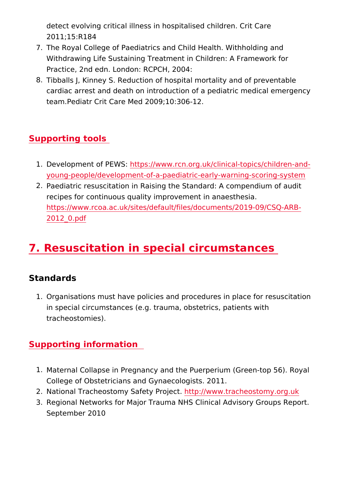detect evolving critical illness in hospitalised children. Crit 2011;15:R184

- 7. The Royal College of Paediatrics and Child Health. Withhold Withdrawing Life Sustaining Treatment in Children: A Frame Practice, 2nd edn. London: RCPCH, 2004:
- 8. Tibballs J, Kinney S. Reduction of hospital mortality and of cardiac arrest and death on introduction of a pediatric medi team.Pediatr Crit Care Med 2009;10:306-12.

#### [Supporting to](https://www.resus.org.ukjavascript:void(0);)ols

- 1. Development of PhETMpS://www.rcn.org.uk/clinical-topics/children[young-people/development-of-a-paediatric-early-wa](https://www.rcn.org.uk/clinical-topics/children-and-young-people/development-of-a-paediatric-early-warning-scoring-system)rning-sco
- 2. Paediatric resuscitation in Raising the Standard: A compend recipes for continuous quality improvement in anaesthesia. [https://www.rcoa.ac.uk/sites/default/files/documen](https://www.rcoa.ac.uk/sites/default/files/documents/2019-09/CSQ-ARB-2012_0.pdf)ts/2019-0 [2012\\_0.](https://www.rcoa.ac.uk/sites/default/files/documents/2019-09/CSQ-ARB-2012_0.pdf)pdf

# 7. Resuscitation in special circumstances

#### Standards

1. Organisations must have policies and procedures in place for in special circumstances (e.g. trauma, obstetrics, patients v tracheostomies).

#### [Supporting informat](https://www.resus.org.ukjavascript:void(0);)ion

- 1. Maternal Collapse in Pregnancy and the Puerperium (Green-College of Obstetricians and Gynaecologists. 2011.
- 2. National Tracheostomy Safehtttp://www.tracheostomy.org.uk
- 3. Regional Networks for Major Trauma NHS Clinical Advisory ( September 2010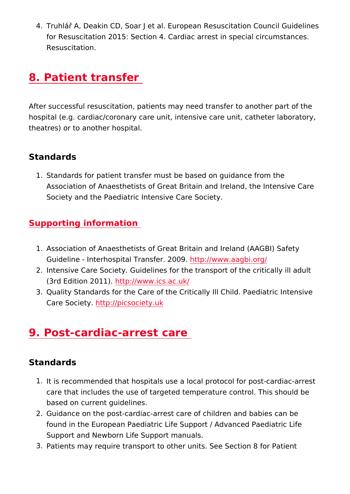4. TruhláY A, Deakin CD, Soar J et al. European Resuscitation for Resuscitation 2015: Section 4. Cardiac arrest in special Resuscitation.

# 8. Patient transfer

After successful resuscitation, patients may need transfer to ar hospital (e.g. cardiac/coronary care unit, intensive care unit, c theatres) or to another hospital.

Standards

1. Standards for patient transfer must be based on guidance fr Association of Anaesthetists of Great Britain and Ireland, th Society and the Paediatric Intensive Care Society.

#### [Supporting informa](https://www.resus.org.ukjavascript:void(0);)tion

- 1. Association of Anaesthetists of Great Britain and Ireland (A Guideline - Interhospital Trahttfore. 2009. aagbi.org/
- 2. Intensive Care Society. Guidelines for the transport of the c  $(3rd$  Edition  $20$ <sup>tht</sup>p://www.ics.ac.uk/
- 3. Quality Standards for the Care of the Critically III Child. Pa Care Sociatyp://picsociety.uk

# 9. Post-cardiac-arrest care

- 1. It is recommended that hospitals use a local protocol for po care that includes the use of targeted temperature control. based on current guidelines.
- 2. Guidance on the post-cardiac-arrest care of children and ba found in the European Paediatric Life Support / Advanced Pa Support and Newborn Life Support manuals.
- 3. Patients may require transport to other units. See Section 8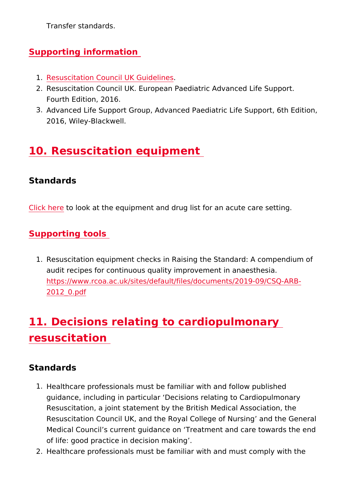Transfer standards.

#### [Supporting informa](https://www.resus.org.ukjavascript:void(0);)tion

- 1.[Resuscitation Council UK](https://www.resus.org.uk/library/2015-resuscitation-guidelines) Guidelines .
- 2. Resuscitation Council UK. European Paediatric Advanced Lif Fourth Edition, 2016.
- 3. Advanced Life Support Group, Advanced Paediatric Life Sup 2016, Wiley-Blackwell.

# 10. Resuscitation equipment

Standards

[Click h](https://www.resus.org.uk/library/quality-standards-cpr/acute-care-equipment-and-drug-lists)etroe look at the equipment and drug list for an acute care

#### [Supporting to](https://www.resus.org.ukjavascript:void(0);)ols

1. Resuscitation equipment checks in Raising the Standard: A audit recipes for continuous quality improvement in anaesth [https://www.rcoa.ac.uk/sites/default/files/documen](https://www.rcoa.ac.uk/sites/default/files/documents/2019-09/CSQ-ARB-2012_0.pdf)ts/2019-0 [2012\\_0.](https://www.rcoa.ac.uk/sites/default/files/documents/2019-09/CSQ-ARB-2012_0.pdf)pdf

# 11. Decisions relating to cardiopulmonary resuscitation

- 1. Healthcare professionals must be familiar with and follow pu guidance, including in particular Decisions relating to Card Resuscitation, a joint statement by the British Medical Asso Resuscitation Council UK, and the Royal College of Nursing Medical Council s current guidance on Treatment and care of life: good practice in decision making .
- 2. Healthcare professionals must be familiar with and must con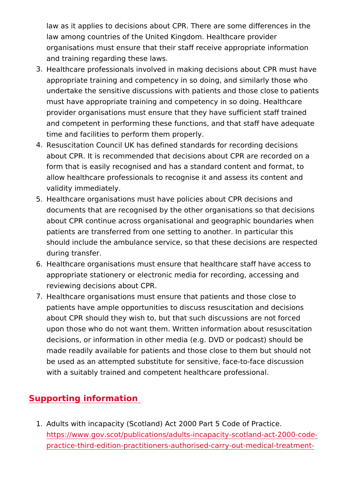law as it applies to decisions about CPR. There are some di law among countries of the United Kingdom. Healthcare prov organisations must ensure that their staff receive appropria and training regarding these laws.

- 3. Healthcare professionals involved in making decisions about appropriate training and competency in so doing, and similarly undertake the sensitive discussions with patients and those must have appropriate training and competency in so doing. provider organisations must ensure that they have sufficient and competent in performing these functions, and that staff time and facilities to perform them properly.
- 4. Resuscitation Council UK has defined standards for recordir about CPR. It is recommended that decisions about CPR are form that is easily recognised and has a standard content and formation allow healthcare professionals to recognise it and assess it validity immediately.
- 5. Healthcare organisations must have policies about CPR deci documents that are recognised by the other organisations so about CPR continue across organisational and geographic be patients are transferred from one setting to another. In part should include the ambulance service, so that these decisions during transfer.
- 6. Healthcare organisations must ensure that healthcare staff appropriate stationery or electronic media for recording, ace reviewing decisions about CPR.
- 7. Healthcare organisations must ensure that patients and thos patients have ample opportunities to discuss resuscitation a about CPR should they wish to, but that such discussions are upon those who do not want them. Written information about decisions, or information in other media (e.g. DVD or podca made readily available for patients and those close to them be used as an attempted substitute for sensitive, face-to-fa with a suitably trained and competent healthcare profession

#### [Supporting informa](https://www.resus.org.ukjavascript:void(0);)tion

1. Adults with incapacity (Scotland) Act 2000 Part 5 Code of P [https://www.gov.scot/publications/adults-incapacity-sc](https://www.gov.scot/publications/adults-incapacity-scotland-act-2000-code-practice-third-edition-practitioners-authorised-carry-out-medical-treatment-research-under-part-5-act/)otland [practice-third-edition-practitioners-authorised-carry-](https://www.gov.scot/publications/adults-incapacity-scotland-act-2000-code-practice-third-edition-practitioners-authorised-carry-out-medical-treatment-research-under-part-5-act/)out-med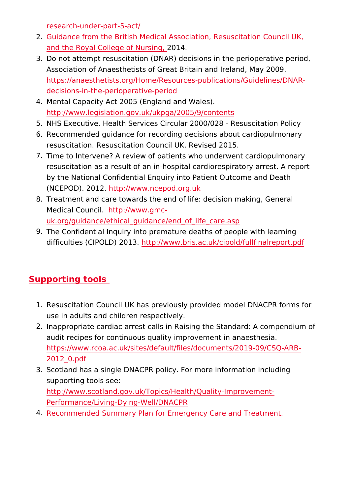[research-under-par](https://www.gov.scot/publications/adults-incapacity-scotland-act-2000-code-practice-third-edition-practitioners-authorised-carry-out-medical-treatment-research-under-part-5-act/)t-5-act/

- 2. [Guidance from the British Medical Association, Res](https://www.resus.org.uk/library/publications/publication-decisions-relating-cardiopulmonary)uscitatio [and the Royal College o](https://www.resus.org.uk/library/publications/publication-decisions-relating-cardiopulmonary)f Nursing,
- 3. Do not attempt resuscitation (DNAR) decisions in the periop Association of Anaesthetists of Great Britain and Ireland, M [https://anaesthetists.org/Home/Resources-publicati](https://anaesthetists.org/Home/Resources-publications/Guidelines/DNAR-decisions-in-the-perioperative-period)ons/Guid [decisions-in-the-periopera](https://anaesthetists.org/Home/Resources-publications/Guidelines/DNAR-decisions-in-the-perioperative-period)tive-period
- 4.Mental Capacity Act 2005 (England and Wales). [http://www.legislation.gov.uk/ukpga/2](http://www.legislation.gov.uk/ukpga/2005/9/contents)005/9/contents
- 5.NHS Executive. Health Services Circular 2000/028 Resusci
- 6. Recommended guidance for recording decisions about cardic resuscitation. Resuscitation Council UK. Revised 2015.
- 7. Time to Intervene? A review of patients who underwent card resuscitation as a result of an in-hospital cardiorespiratory by the National Confidential Enquiry into Patient Outcome a (NCEPOD). 200ttp://www.ncepod.org.uk
- 8. Treatment and care towards the end of life: decision making Medical Coumctip://www.gmc[uk.org/guidance/ethical\\_guidance/end\\_](http://www.gmc-uk.org/guidance/ethical_guidance/end_of_life_care.asp)of\_life\_care.asp
- 9. The Confidential Inquiry into premature deaths of people with difficulties (CIPOLD) tp://www.bris.ac.uk/cipold/fullfinalrepo

### [Supporting to](https://www.resus.org.ukjavascript:void(0);)ols

- 1. Resuscitation Council UK has previously provided model DN use in adults and children respectively.
- 2. Inappropriate cardiac arrest calls in Raising the Standard: *A* audit recipes for continuous quality improvement in anaesth [https://www.rcoa.ac.uk/sites/default/files/documen](https://www.rcoa.ac.uk/sites/default/files/documents/2019-09/CSQ-ARB-2012_0.pdf)ts/2019-0 [2012\\_0.](https://www.rcoa.ac.uk/sites/default/files/documents/2019-09/CSQ-ARB-2012_0.pdf)pdf
- 3. Scotland has a single DNACPR policy. For more information supporting tools see: [http://www.scotland.gov.uk/Topics/Health/Qua](http://www.scotland.gov.uk/Topics/Health/Quality-Improvement-Performance/Living-Dying-Well/DNACPRScotland)lity-Improveme [Performance/Living-Dying-W](http://www.scotland.gov.uk/Topics/Health/Quality-Improvement-Performance/Living-Dying-Well/DNACPRScotland)ell/DNACPR
- 4. [Recommended Summary Plan for Emergency Car](https://www.resus.org.uk/respect)e and Treatm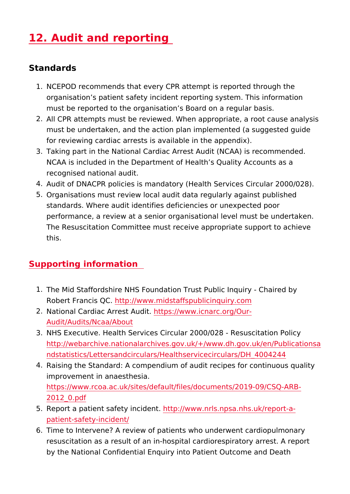# 12. Audit and reporting

#### Standards

- 1. NCEPOD recommends that every CPR attempt is reported thr organisation s patient safety incident reporting system. This must be reported to the organisation s Board on a regular b
- 2. All CPR attempts must be reviewed. When appropriate, a root must be undertaken, and the action plan implemented (a sug for reviewing cardiac arrests is available in the appendix).
- 3. Taking part in the National Cardiac Arrest Audit (NCAA) is r NCAA is included in the Department of Health s Quality Acco recognised national audit.
- 4. Audit of DNACPR policies is mandatory (Health Services Cir
- 5. Organisations must review local audit data regularly against standards. Where audit identifies deficiencies or unexpected performance, a review at a senior organisational level must The Resuscitation Committee must receive appropriate supp this.

#### [Supporting informat](https://www.resus.org.ukjavascript:void(0);)ion

- 1. The Mid Staffordshire NHS Foundation Trust Public Inquiry -Robert FrancistOpC//www.midstaffspublicinquiry.com
- 2. National Cardiac Arrestt Asuditwww.icnarc.org/Our-[Audit/Audits/Ncaa](https://www.icnarc.org/Our-Audit/Audits/Ncaa/About)/About
- 3.NHS Executive. Health Services Circular 2000/028 Resusci [http://webarchive.nationalarchives.gov.uk/+/www.dh.go](http://webarchive.nationalarchives.gov.uk/+/www.dh.gov.uk/en/Publicationsandstatistics/Lettersandcirculars/Healthservicecirculars/DH_4004244)v.uk/ [ndstatistics/Lettersandcirculars/Healthserviceci](http://webarchive.nationalarchives.gov.uk/+/www.dh.gov.uk/en/Publicationsandstatistics/Lettersandcirculars/Healthservicecirculars/DH_4004244)rculars/DH\_4004244
- 4. Raising the Standard: A compendium of audit recipes for continuous improvement in anaesthesia. [https://www.rcoa.ac.uk/sites/default/files/documen](https://www.rcoa.ac.uk/sites/default/files/documents/2019-09/CSQ-ARB-2012_0.pdf)ts/2019-0 [2012\\_0.](https://www.rcoa.ac.uk/sites/default/files/documents/2019-09/CSQ-ARB-2012_0.pdf)pdf
- 5. Report a patient safety hintoid ewww.nrls.npsa.nhs.uk/report-a[patient-safety-in](http://www.nrls.npsa.nhs.uk/report-a-patient-safety-incident/)cident/
- 6. Time to Intervene? A review of patients who underwent card resuscitation as a result of an in-hospital cardiorespiratory by the National Confidential Enquiry into Patient Outcome a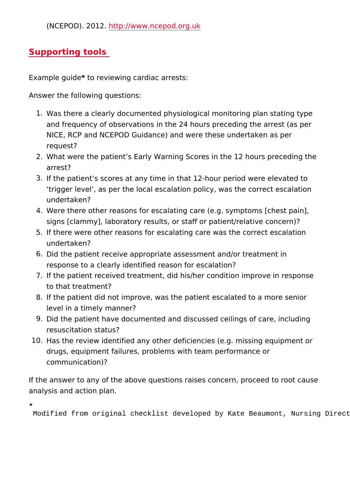(NCEPOD). 200ttp://www.ncepod.org.uk

#### [Supporting to](https://www.resus.org.ukjavascript:void(0);)ols

Example gutitude reviewing cardiac arrests:

Answer the following questions:

- 1. Was there a clearly documented physiological monitoring pla and frequency of observations in the 24 hours preceding the NICE, RCP and NCEPOD Guidance) and were these undertak request?
- 2. What were the patient s Early Warning Scores in the 12 hour arrest?
- 3. If the patient s scores at any time in that 12-hour period we trigger level, as per the local escalation policy, was the c undertaken?
- 4. Were there other reasons for escalating care (e.g. symptoms signs [clammy], laboratory results, or staff or patient/relativ
- 5. If there were other reasons for escalating care was the corr undertaken?
- 6. Did the patient receive appropriate assessment and/or treat response to a clearly identified reason for escalation?
- 7. If the patient received treatment, did his/her condition impr to that treatment?
- 8. If the patient did not improve, was the patient escalated to level in a timely manner?
- 9. Did the patient have documented and discussed ceilings of a resuscitation status?
- 10.Has the review identified any other deficiencies (e.g. missir drugs, equipment failures, problems with team performance communication)?

If the answer to any of the above questions raises concern, pro analysis and action plan.

\* Modified from original checklist developed by Kate Beaumont, Nursing Director, The Learning Clinic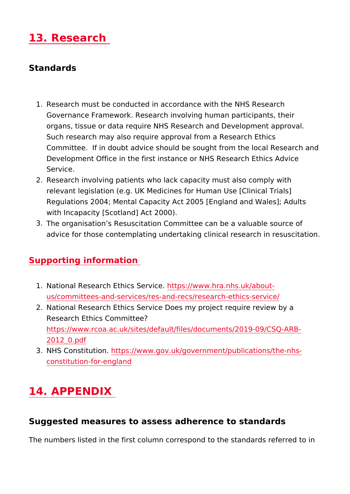# 13. Research

#### Standards

- 1. Research must be conducted in accordance with the NHS Re Governance Framework. Research involving human participa organs, tissue or data require NHS Research and Developme Such research may also require approval from a Research E Committee. If in doubt advice should be sought from the local Development Office in the first instance or NHS Research Ethical Service.
- 2. Research involving patients who lack capacity must also cor relevant legislation (e.g. UK Medicines for Human Use [Clin Regulations 2004; Mental Capacity Act 2005 [England and W with Incapacity [Scotland] Act 2000).
- 3. The organisation s Resuscitation Committee can be a valuab advice for those contemplating undertaking clinical research

#### [Supporting informa](https://www.resus.org.ukjavascript:void(0);)tion

- 1. National Research Ethicht Spear vivonew w.hra.nhs.uk/about[us/committees-and-services/res-and-recs/resea](https://www.hra.nhs.uk/about-us/committees-and-services/res-and-recs/research-ethics-service/)rch-ethics-se
- 2. National Research Ethics Service Does my project require re Research Ethics Committee? [https://www.rcoa.ac.uk/sites/default/files/documen](https://www.rcoa.ac.uk/sites/default/files/documents/2019-09/CSQ-ARB-2012_0.pdf)ts/2019-0 [2012\\_0.](https://www.rcoa.ac.uk/sites/default/files/documents/2019-09/CSQ-ARB-2012_0.pdf)pdf
- 3. NHS Constituhtops://www.gov.uk/government/publications/the[constitution-for-e](https://www.gov.uk/government/publications/the-nhs-constitution-for-england)ngland

# 14. APPENDIX

Suggested measures to assess adherence to standards The numbers listed in the first column correspond to the standa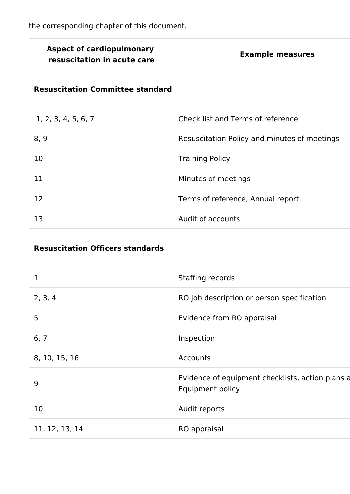the corresponding chapter of this document.

| <b>Aspect of cardiopulmonary</b><br>resuscitation in acute care | <b>Example measures</b>                      |
|-----------------------------------------------------------------|----------------------------------------------|
| <b>Resuscitation Committee standard</b>                         |                                              |
| 1, 2, 3, 4, 5, 6, 7                                             | Check list and Terms of reference            |
| 8, 9                                                            | Resuscitation Policy and minutes of meetings |
| 10                                                              | <b>Training Policy</b>                       |
| 11                                                              | Minutes of meetings                          |
| 12                                                              | Terms of reference, Annual report            |
| 13                                                              | Audit of accounts                            |
| <b>Resuscitation Officers standards</b>                         |                                              |

| 1              | Staffing records                                                     |
|----------------|----------------------------------------------------------------------|
| 2, 3, 4        | RO job description or person specification                           |
| 5              | Evidence from RO appraisal                                           |
| 6, 7           | Inspection                                                           |
| 8, 10, 15, 16  | Accounts                                                             |
| 9              | Evidence of equipment checklists, action plans a<br>Equipment policy |
| 10             | Audit reports                                                        |
| 11, 12, 13, 14 | RO appraisal                                                         |
|                |                                                                      |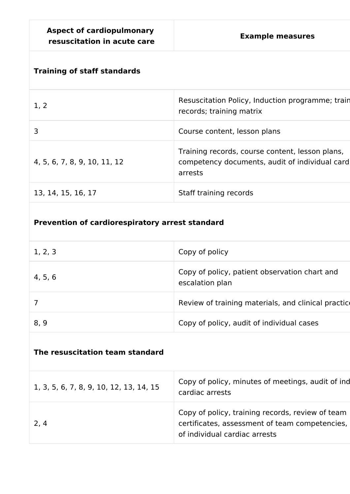| <b>Aspect of cardiopulmonary</b> |
|----------------------------------|
| resuscitation in acute care      |

**Example measures** 

### **Training of staff standards**

| 1, 2                         | Resuscitation Policy, Induction programme; train<br>records; training matrix                                 |
|------------------------------|--------------------------------------------------------------------------------------------------------------|
| $\mathcal{B}$                | Course content, lesson plans                                                                                 |
| 4, 5, 6, 7, 8, 9, 10, 11, 12 | Training records, course content, lesson plans,<br>competency documents, audit of individual card<br>arrests |
| 13, 14, 15, 16, 17           | Staff training records                                                                                       |

### **Prevention of cardiorespiratory arrest standard**

| 1, 2, 3 | Copy of policy                                                   |
|---------|------------------------------------------------------------------|
| 4, 5, 6 | Copy of policy, patient observation chart and<br>escalation plan |
|         | Review of training materials, and clinical practic               |
| 8, 9    | Copy of policy, audit of individual cases                        |

### **The resuscitation team standard**

| 1, 3, 5, 6, 7, 8, 9, 10, 12, 13, 14, 15 | Copy of policy, minutes of meetings, audit of ind<br>cardiac arrests                                                                |
|-----------------------------------------|-------------------------------------------------------------------------------------------------------------------------------------|
| 2, 4                                    | Copy of policy, training records, review of team<br>certificates, assessment of team competencies,<br>of individual cardiac arrests |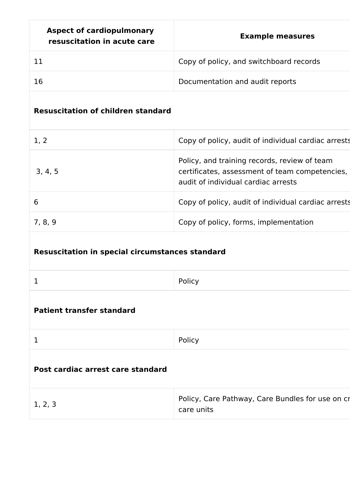| <b>Aspect of cardiopulmonary</b><br>resuscitation in acute care | <b>Example measures</b>                 |
|-----------------------------------------------------------------|-----------------------------------------|
|                                                                 | Copy of policy, and switchboard records |
| 16                                                              | Documentation and audit reports         |

### **Resuscitation of children standard**

| 1, 2    | Copy of policy, audit of individual cardiac arrests                                                                                   |
|---------|---------------------------------------------------------------------------------------------------------------------------------------|
| 3, 4, 5 | Policy, and training records, review of team<br>certificates, assessment of team competencies,<br>audit of individual cardiac arrests |
| 6       | Copy of policy, audit of individual cardiac arrests                                                                                   |
| 7, 8, 9 | Copy of policy, forms, implementation                                                                                                 |

### **Resuscitation in special circumstances standard**

| -- | D <sub>0</sub><br><b>OIICV</b> |
|----|--------------------------------|

### **Patient transfer standard**

1 Policy

### **Post cardiac arrest care standard**

|--|